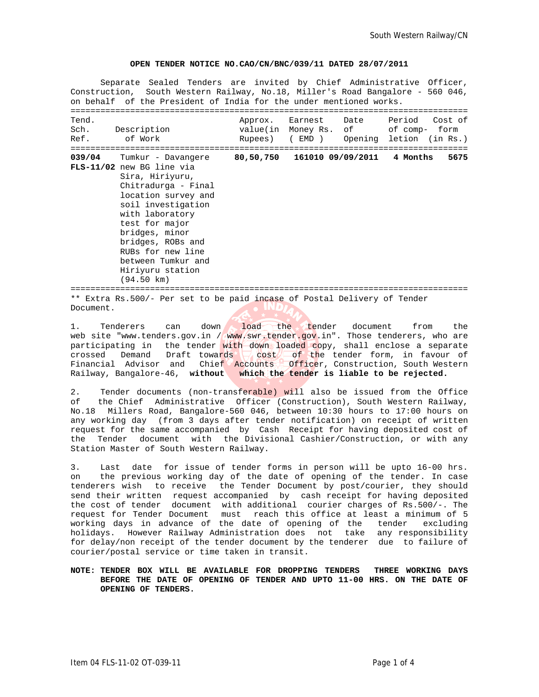#### **OPEN TENDER NOTICE NO.CAO/CN/BNC/039/11 DATED 28/07/2011**

Separate Sealed Tenders are invited by Chief Administrative Officer, Construction, South Western Railway, No.18, Miller's Road Bangalore - 560 046, on behalf of the President of India for the under mentioned works. ================================================================================ Tend.<br>
Tend.<br>
Sch. Possarintion (In Monoy Bangle of Somm form) Sch. Description value(in Money Rs. of of comp- form Ref. of Work Rupees) ( EMD ) Opening letion (in Rs.) ================================================================================ **039/04** Tumkur - Davangere **80,50,750 161010 09/09/2011 4 Months 5675 FLS-11/02** new BG line via Sira, Hiriyuru, Chitradurga - Final location survey and soil investigation with laboratory test for major bridges, minor bridges, ROBs and RUBs for new line between Tumkur and Hiriyuru station (94.50 km)

================================================================================ \*\* Extra Rs.500/- Per set to be paid incase of Postal Delivery of Tender Document.

1. Tenderers can down load the tender document from the web site "www.tenders.gov.in / www.swr.tender.gov.in". Those tenderers, who are participating in the tender with down loaded copy, shall enclose a separate crossed Demand Draft towards  $\sqrt{\cosh \theta}$  of the tender form, in favour of Financial Advisor and Chief Accounts Officer, Construction, South Western Railway, Bangalore-46, **without which the tender is liable to be rejected.**

2. Tender documents (non-transferable) will also be issued from the Office of the Chief Administrative Officer (Construction), South Western Railway, No.18 Millers Road, Bangalore-560 046, between 10:30 hours to 17:00 hours on any working day (from 3 days after tender notification) on receipt of written request for the same accompanied by Cash Receipt for having deposited cost of the Tender document with the Divisional Cashier/Construction, or with any Station Master of South Western Railway.

3. Last date for issue of tender forms in person will be upto 16-00 hrs. on the previous working day of the date of opening of the tender. In case tenderers wish to receive the Tender Document by post/courier, they should send their written request accompanied by cash receipt for having deposited the cost of tender document with additional courier charges of Rs.500/-. The request for Tender Document must reach this office at least a minimum of 5 working days in advance of the date of opening of the tender excluding holidays. However Railway Administration does not take any responsibility for delay/non receipt of the tender document by the tenderer due to failure of courier/postal service or time taken in transit.

## **NOTE: TENDER BOX WILL BE AVAILABLE FOR DROPPING TENDERS THREE WORKING DAYS BEFORE THE DATE OF OPENING OF TENDER AND UPTO 11-00 HRS. ON THE DATE OF OPENING OF TENDERS.**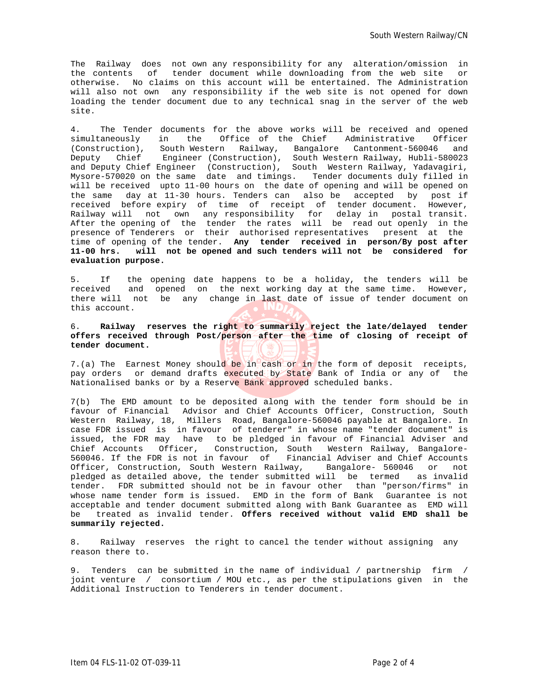The Railway does not own any responsibility for any alteration/omission in the contents of tender document while downloading from the web site or otherwise. No claims on this account will be entertained. The Administration will also not own any responsibility if the web site is not opened for down loading the tender document due to any technical snag in the server of the web site.

4. The Tender documents for the above works will be received and opened simultaneously in the Office of the Chief Administrative Officer (Construction), South Western Railway, Bangalore Cantonment-560046 and Deputy Chief Engineer (Construction), South Western Railway, Hubli-580023 and Deputy Chief Engineer (Construction), South Western Railway, Yadavagiri, Mysore-570020 on the same date and timings. Tender documents duly filled in will be received upto 11-00 hours on the date of opening and will be opened on the same day at 11-30 hours. Tenders can also be accepted by post if received before expiry of time of receipt of tender document. However, Railway will not own any responsibility for delay in postal transit. After the opening of the tender the rates will be read out openly in the presence of Tenderers or their authorised representatives present at the time of opening of the tender. **Any tender received in person/By post after 11-00 hrs. will not be opened and such tenders will not be considered for evaluation purpose.**

5. If the opening date happens to be a holiday, the tenders will be received and opened on the next working day at the same time. However, there will not be any change in last date of issue of tender document on this account.

# 6. **Railway reserves the right to summarily reject the late/delayed tender offers received through Post/person after the time of closing of receipt of tender document.**

7.(a) The Earnest Money should be in cash or in the form of deposit receipts, pay orders or demand drafts executed by State Bank of India or any of the Nationalised banks or by a Reserve Bank approved scheduled banks.

7(b) The EMD amount to be deposited along with the tender form should be in favour of Financial Advisor and Chief Accounts Officer, Construction, South Western Railway, 18, Millers Road, Bangalore-560046 payable at Bangalore. In case FDR issued is in favour of tenderer" in whose name "tender document" is issued, the FDR may have to be pledged in favour of Financial Adviser and Chief Accounts Officer, Construction, South Western Railway, Bangalore-560046. If the FDR is not in favour of Financial Adviser and Chief Accounts Officer, Construction, South Western Railway, Bangalore- 560046 or not pledged as detailed above, the tender submitted will be termed as invalid tender. FDR submitted should not be in favour other than "person/firms" in whose name tender form is issued. EMD in the form of Bank Guarantee is not acceptable and tender document submitted along with Bank Guarantee as EMD will be treated as invalid tender. **Offers received without valid EMD shall be summarily rejected.**

8. Railway reserves the right to cancel the tender without assigning any reason there to.

9. Tenders can be submitted in the name of individual / partnership firm / joint venture / consortium / MOU etc., as per the stipulations given in the Additional Instruction to Tenderers in tender document.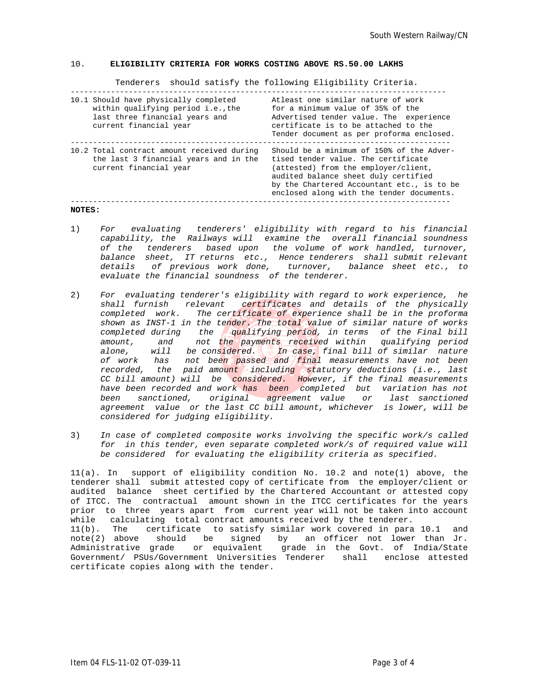### 10. **ELIGIBILITY CRITERIA FOR WORKS COSTING ABOVE RS.50.00 LAKHS**

Tenderers should satisfy the following Eligibility Criteria.

| 10.1 Should have physically completed<br>within qualifying period i.e., the<br>last three financial years and<br>current financial year | Atleast one similar nature of work<br>for a minimum value of 35% of the<br>Advertised tender value. The experience<br>certificate is to be attached to the<br>Tender document as per proforma enclosed.                                                     |
|-----------------------------------------------------------------------------------------------------------------------------------------|-------------------------------------------------------------------------------------------------------------------------------------------------------------------------------------------------------------------------------------------------------------|
| 10.2 Total contract amount received during<br>the last 3 financial years and in the<br>current financial year                           | Should be a minimum of 150% of the Adver-<br>tised tender value. The certificate<br>(attested) from the employer/client,<br>audited balance sheet duly certified<br>by the Chartered Accountant etc., is to be<br>enclosed along with the tender documents. |
|                                                                                                                                         |                                                                                                                                                                                                                                                             |

### **NOTES:**

- 1) *For evaluating tenderers' eligibility with regard to his financial capability, the Railways will examine the overall financial soundness of the tenderers based upon the volume of work handled, turnover, balance sheet, IT returns etc., Hence tenderers shall submit relevant details of previous work done, turnover, balance sheet etc., to evaluate the financial soundness of the tenderer.*
- 2) *For evaluating tenderer's eligibility with regard to work experience, he shall furnish relevant certificates and details of the physically completed work. The certificate of experience shall be in the proforma shown as INST-1 in the tender. The total value of similar nature of works completed during the qualifying period, in terms of the Final bill amount, and not the payments received within qualifying period alone, will be considered. In case, final bill of similar nature of work has not been passed and final measurements have not been recorded, the paid amount including statutory deductions (i.e., last CC bill amount) will be considered. However, if the final measurements have been recorded and work has been completed but variation has not been sanctioned, original agreement value or last sanctioned agreement value or the last CC bill amount, whichever is lower, will be considered for judging eligibility.*
- 3) *In case of completed composite works involving the specific work/s called for in this tender, even separate completed work/s of required value will be considered for evaluating the eligibility criteria as specified.*

11(a). In support of eligibility condition No. 10.2 and note(1) above, the tenderer shall submit attested copy of certificate from the employer/client or audited balance sheet certified by the Chartered Accountant or attested copy of ITCC. The contractual amount shown in the ITCC certificates for the years prior to three years apart from current year will not be taken into account while calculating total contract amounts received by the tenderer. 11(b). The certificate to satisfy similar work covered in para 10.1 and note(2) above should be signed by an officer not lower than Jr. Administrative grade or equivalent grade in the Govt. of India/State Government/ PSUs/Government Universities Tenderer shall enclose attested

certificate copies along with the tender.